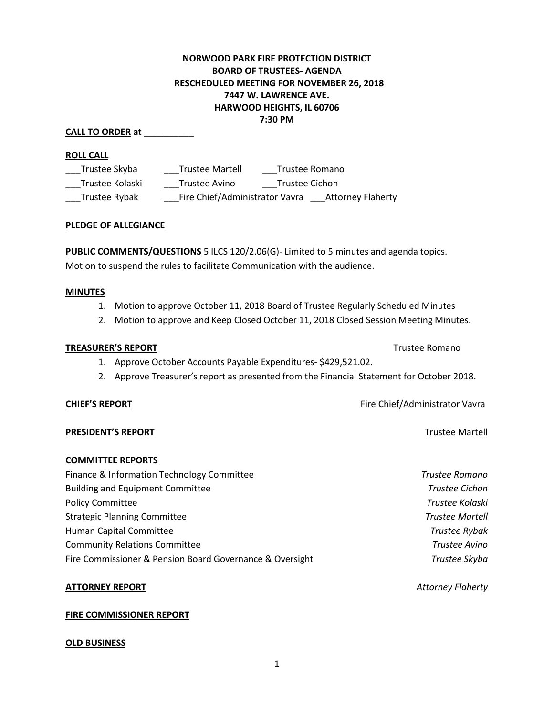## **NORWOOD PARK FIRE PROTECTION DISTRICT BOARD OF TRUSTEES- AGENDA RESCHEDULED MEETING FOR NOVEMBER 26, 2018 7447 W. LAWRENCE AVE. HARWOOD HEIGHTS, IL 60706 7:30 PM**

#### **CALL TO ORDER at** \_\_\_\_\_\_\_\_\_\_

#### **ROLL CALL**

| Trustee Skyba   | <b>Trustee Martell</b>         | Trustee Romano |                          |
|-----------------|--------------------------------|----------------|--------------------------|
| Trustee Kolaski | Trustee Avino                  | Trustee Cichon |                          |
| Trustee Rybak   | Fire Chief/Administrator Vavra |                | <b>Attorney Flaherty</b> |

## **PLEDGE OF ALLEGIANCE**

**PUBLIC COMMENTS/QUESTIONS** 5 ILCS 120/2.06(G)- Limited to 5 minutes and agenda topics. Motion to suspend the rules to facilitate Communication with the audience.

#### **MINUTES**

- 1. Motion to approve October 11, 2018 Board of Trustee Regularly Scheduled Minutes
- 2. Motion to approve and Keep Closed October 11, 2018 Closed Session Meeting Minutes.

#### **TREASURER'S REPORT TREASURER'S REPORT**

- 1. Approve October Accounts Payable Expenditures- \$429,521.02.
- 2. Approve Treasurer's report as presented from the Financial Statement for October 2018.

#### **CHIEF'S REPORT CHIEF'S REPORT Fire Chief/Administrator Vavra**

#### **PRESIDENT'S REPORT Trustee Martell**

#### **COMMITTEE REPORTS**

| Trustee Romano         |
|------------------------|
| <b>Trustee Cichon</b>  |
| Trustee Kolaski        |
| <b>Trustee Martell</b> |
| Trustee Rybak          |
| Trustee Avino          |
| Trustee Skyba          |
|                        |

#### **ATTORNEY REPORT** *Attorney Flaherty*

# **FIRE COMMISSIONER REPORT**

#### **OLD BUSINESS**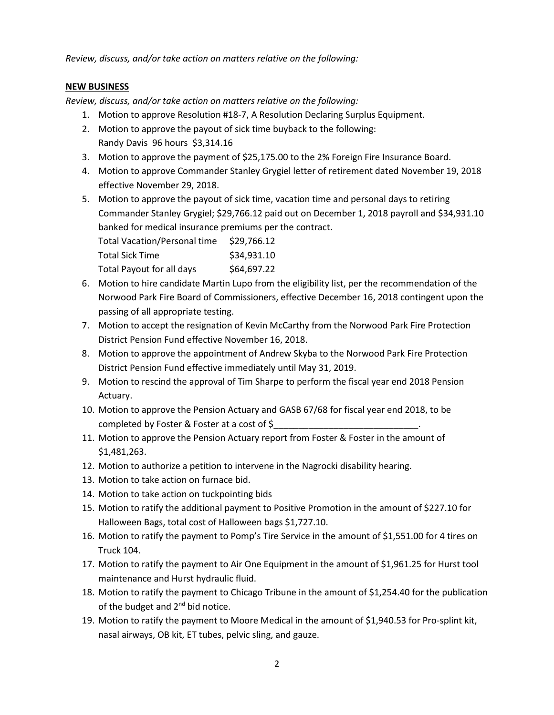*Review, discuss, and/or take action on matters relative on the following:*

## **NEW BUSINESS**

*Review, discuss, and/or take action on matters relative on the following:*

- 1. Motion to approve Resolution #18-7, A Resolution Declaring Surplus Equipment.
- 2. Motion to approve the payout of sick time buyback to the following: Randy Davis 96 hours \$3,314.16
- 3. Motion to approve the payment of \$25,175.00 to the 2% Foreign Fire Insurance Board.
- 4. Motion to approve Commander Stanley Grygiel letter of retirement dated November 19, 2018 effective November 29, 2018.
- 5. Motion to approve the payout of sick time, vacation time and personal days to retiring Commander Stanley Grygiel; \$29,766.12 paid out on December 1, 2018 payroll and \$34,931.10 banked for medical insurance premiums per the contract.

| Total Vacation/Personal time | \$29,766.12 |
|------------------------------|-------------|
| Total Sick Time              | \$34,931.10 |
| Total Payout for all days    | \$64,697.22 |

- 6. Motion to hire candidate Martin Lupo from the eligibility list, per the recommendation of the Norwood Park Fire Board of Commissioners, effective December 16, 2018 contingent upon the passing of all appropriate testing.
- 7. Motion to accept the resignation of Kevin McCarthy from the Norwood Park Fire Protection District Pension Fund effective November 16, 2018.
- 8. Motion to approve the appointment of Andrew Skyba to the Norwood Park Fire Protection District Pension Fund effective immediately until May 31, 2019.
- 9. Motion to rescind the approval of Tim Sharpe to perform the fiscal year end 2018 Pension Actuary.
- 10. Motion to approve the Pension Actuary and GASB 67/68 for fiscal year end 2018, to be completed by Foster & Foster at a cost of \$
- 11. Motion to approve the Pension Actuary report from Foster & Foster in the amount of \$1,481,263.
- 12. Motion to authorize a petition to intervene in the Nagrocki disability hearing.
- 13. Motion to take action on furnace bid.
- 14. Motion to take action on tuckpointing bids
- 15. Motion to ratify the additional payment to Positive Promotion in the amount of \$227.10 for Halloween Bags, total cost of Halloween bags \$1,727.10.
- 16. Motion to ratify the payment to Pomp's Tire Service in the amount of \$1,551.00 for 4 tires on Truck 104.
- 17. Motion to ratify the payment to Air One Equipment in the amount of \$1,961.25 for Hurst tool maintenance and Hurst hydraulic fluid.
- 18. Motion to ratify the payment to Chicago Tribune in the amount of \$1,254.40 for the publication of the budget and 2<sup>nd</sup> bid notice.
- 19. Motion to ratify the payment to Moore Medical in the amount of \$1,940.53 for Pro-splint kit, nasal airways, OB kit, ET tubes, pelvic sling, and gauze.